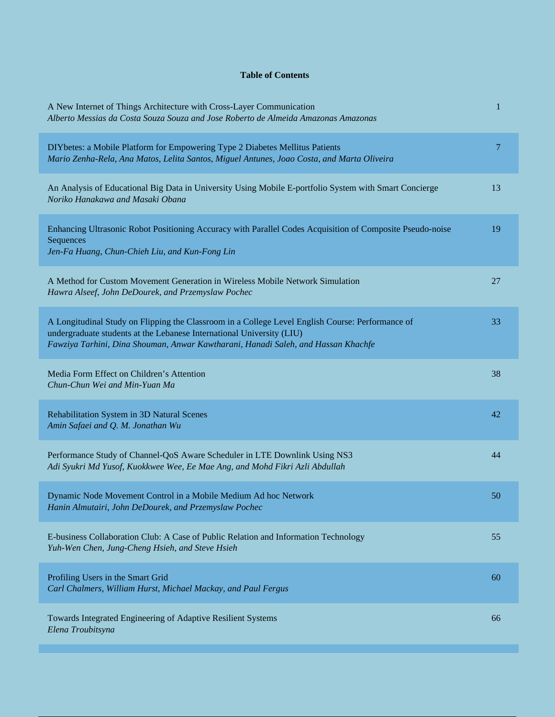## **Table of Contents**

| A New Internet of Things Architecture with Cross-Layer Communication<br>Alberto Messias da Costa Souza Souza and Jose Roberto de Almeida Amazonas Amazonas                                                                                                     | 1  |
|----------------------------------------------------------------------------------------------------------------------------------------------------------------------------------------------------------------------------------------------------------------|----|
| DIYbetes: a Mobile Platform for Empowering Type 2 Diabetes Mellitus Patients<br>Mario Zenha-Rela, Ana Matos, Lelita Santos, Miguel Antunes, Joao Costa, and Marta Oliveira                                                                                     | 7  |
| An Analysis of Educational Big Data in University Using Mobile E-portfolio System with Smart Concierge<br>Noriko Hanakawa and Masaki Obana                                                                                                                     | 13 |
| Enhancing Ultrasonic Robot Positioning Accuracy with Parallel Codes Acquisition of Composite Pseudo-noise<br>Sequences<br>Jen-Fa Huang, Chun-Chieh Liu, and Kun-Fong Lin                                                                                       | 19 |
| A Method for Custom Movement Generation in Wireless Mobile Network Simulation<br>Hawra Alseef, John DeDourek, and Przemyslaw Pochec                                                                                                                            | 27 |
| A Longitudinal Study on Flipping the Classroom in a College Level English Course: Performance of<br>undergraduate students at the Lebanese International University (LIU)<br>Fawziya Tarhini, Dina Shouman, Anwar Kawtharani, Hanadi Saleh, and Hassan Khachfe | 33 |
| Media Form Effect on Children's Attention<br>Chun-Chun Wei and Min-Yuan Ma                                                                                                                                                                                     | 38 |
| Rehabilitation System in 3D Natural Scenes<br>Amin Safaei and Q. M. Jonathan Wu                                                                                                                                                                                | 42 |
| Performance Study of Channel-QoS Aware Scheduler in LTE Downlink Using NS3<br>Adi Syukri Md Yusof, Kuokkwee Wee, Ee Mae Ang, and Mohd Fikri Azli Abdullah                                                                                                      | 44 |
| Dynamic Node Movement Control in a Mobile Medium Ad hoc Network<br>Hanin Almutairi, John DeDourek, and Przemyslaw Pochec                                                                                                                                       | 50 |
| E-business Collaboration Club: A Case of Public Relation and Information Technology<br>Yuh-Wen Chen, Jung-Cheng Hsieh, and Steve Hsieh                                                                                                                         | 55 |
| Profiling Users in the Smart Grid<br>Carl Chalmers, William Hurst, Michael Mackay, and Paul Fergus                                                                                                                                                             | 60 |
| Towards Integrated Engineering of Adaptive Resilient Systems<br>Elena Troubitsyna                                                                                                                                                                              | 66 |